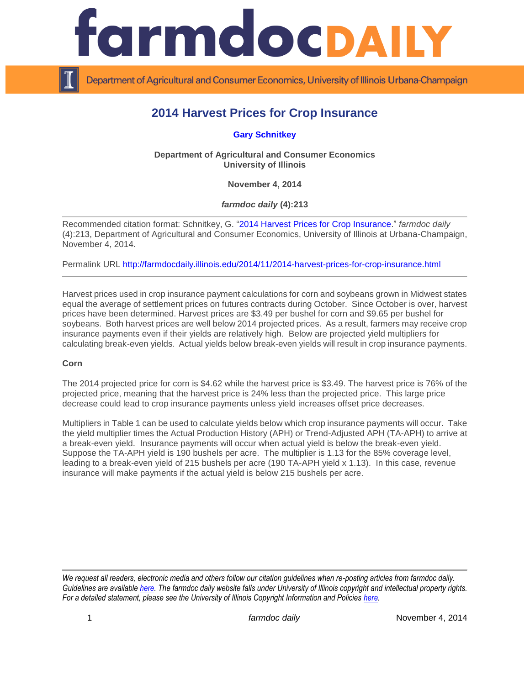

Department of Agricultural and Consumer Economics, University of Illinois Urbana-Champaign

## **2014 Harvest Prices for Crop Insurance**

**[Gary Schnitkey](http://farmdoc.illinois.edu/schnitkey)**

**Department of Agricultural and Consumer Economics University of Illinois**

**November 4, 2014**

*farmdoc daily* **(4):213**

Recommended citation format: Schnitkey, G. ["2014 Harvest Prices for Crop Insurance.](http://farmdocdaily.illinois.edu/2014/11/2014-harvest-prices-for-crop-insurance.html)" *farmdoc daily* (4):213, Department of Agricultural and Consumer Economics, University of Illinois at Urbana-Champaign, November 4, 2014.

Permalink URL<http://farmdocdaily.illinois.edu/2014/11/2014-harvest-prices-for-crop-insurance.html>

Harvest prices used in crop insurance payment calculations for corn and soybeans grown in Midwest states equal the average of settlement prices on futures contracts during October. Since October is over, harvest prices have been determined. Harvest prices are \$3.49 per bushel for corn and \$9.65 per bushel for soybeans. Both harvest prices are well below 2014 projected prices. As a result, farmers may receive crop insurance payments even if their yields are relatively high. Below are projected yield multipliers for calculating break-even yields. Actual yields below break-even yields will result in crop insurance payments.

## **Corn**

The 2014 projected price for corn is \$4.62 while the harvest price is \$3.49. The harvest price is 76% of the projected price, meaning that the harvest price is 24% less than the projected price. This large price decrease could lead to crop insurance payments unless yield increases offset price decreases.

Multipliers in Table 1 can be used to calculate yields below which crop insurance payments will occur. Take the yield multiplier times the Actual Production History (APH) or Trend-Adjusted APH (TA-APH) to arrive at a break-even yield. Insurance payments will occur when actual yield is below the break-even yield. Suppose the TA-APH yield is 190 bushels per acre. The multiplier is 1.13 for the 85% coverage level, leading to a break-even yield of 215 bushels per acre (190 TA-APH yield x 1.13). In this case, revenue insurance will make payments if the actual yield is below 215 bushels per acre.

*We request all readers, electronic media and others follow our citation guidelines when re-posting articles from farmdoc daily. Guidelines are available [here.](http://farmdocdaily.illinois.edu/citationguide.html) The farmdoc daily website falls under University of Illinois copyright and intellectual property rights. For a detailed statement, please see the University of Illinois Copyright Information and Policies [here.](http://www.cio.illinois.edu/policies/copyright/)*